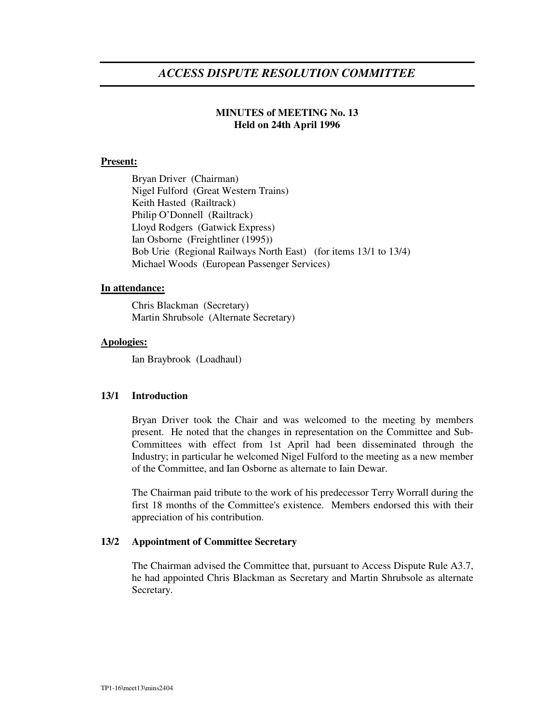# *ACCESS DISPUTE RESOLUTION COMMITTEE*

# **MINUTES of MEETING No. 13 Held on 24th April 1996**

## **Present:**

Bryan Driver (Chairman) Nigel Fulford (Great Western Trains) Keith Hasted (Railtrack) Philip O'Donnell (Railtrack) Lloyd Rodgers (Gatwick Express) Ian Osborne (Freightliner (1995)) Bob Urie (Regional Railways North East) (for items 13/1 to 13/4) Michael Woods (European Passenger Services)

## **In attendance:**

Chris Blackman (Secretary) Martin Shrubsole (Alternate Secretary)

## **Apologies:**

Ian Braybrook (Loadhaul)

# **13/1 Introduction**

Bryan Driver took the Chair and was welcomed to the meeting by members present. He noted that the changes in representation on the Committee and Sub-Committees with effect from 1st April had been disseminated through the Industry; in particular he welcomed Nigel Fulford to the meeting as a new member of the Committee, and Ian Osborne as alternate to Iain Dewar.

The Chairman paid tribute to the work of his predecessor Terry Worrall during the first 18 months of the Committee's existence. Members endorsed this with their appreciation of his contribution.

# **13/2 Appointment of Committee Secretary**

The Chairman advised the Committee that, pursuant to Access Dispute Rule A3.7, he had appointed Chris Blackman as Secretary and Martin Shrubsole as alternate Secretary.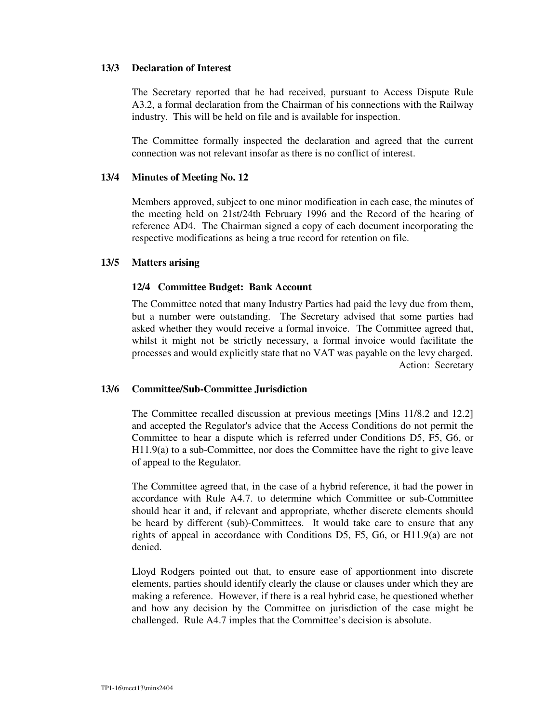## **13/3 Declaration of Interest**

The Secretary reported that he had received, pursuant to Access Dispute Rule A3.2, a formal declaration from the Chairman of his connections with the Railway industry. This will be held on file and is available for inspection.

The Committee formally inspected the declaration and agreed that the current connection was not relevant insofar as there is no conflict of interest.

#### **13/4 Minutes of Meeting No. 12**

Members approved, subject to one minor modification in each case, the minutes of the meeting held on 21st/24th February 1996 and the Record of the hearing of reference AD4. The Chairman signed a copy of each document incorporating the respective modifications as being a true record for retention on file.

#### **13/5 Matters arising**

#### **12/4 Committee Budget: Bank Account**

The Committee noted that many Industry Parties had paid the levy due from them, but a number were outstanding. The Secretary advised that some parties had asked whether they would receive a formal invoice. The Committee agreed that, whilst it might not be strictly necessary, a formal invoice would facilitate the processes and would explicitly state that no VAT was payable on the levy charged. Action: Secretary

#### **13/6 Committee/Sub-Committee Jurisdiction**

The Committee recalled discussion at previous meetings [Mins 11/8.2 and 12.2] and accepted the Regulator's advice that the Access Conditions do not permit the Committee to hear a dispute which is referred under Conditions D5, F5, G6, or H11.9(a) to a sub-Committee, nor does the Committee have the right to give leave of appeal to the Regulator.

The Committee agreed that, in the case of a hybrid reference, it had the power in accordance with Rule A4.7. to determine which Committee or sub-Committee should hear it and, if relevant and appropriate, whether discrete elements should be heard by different (sub)-Committees. It would take care to ensure that any rights of appeal in accordance with Conditions D5, F5, G6, or H11.9(a) are not denied.

Lloyd Rodgers pointed out that, to ensure ease of apportionment into discrete elements, parties should identify clearly the clause or clauses under which they are making a reference. However, if there is a real hybrid case, he questioned whether and how any decision by the Committee on jurisdiction of the case might be challenged. Rule A4.7 imples that the Committee's decision is absolute.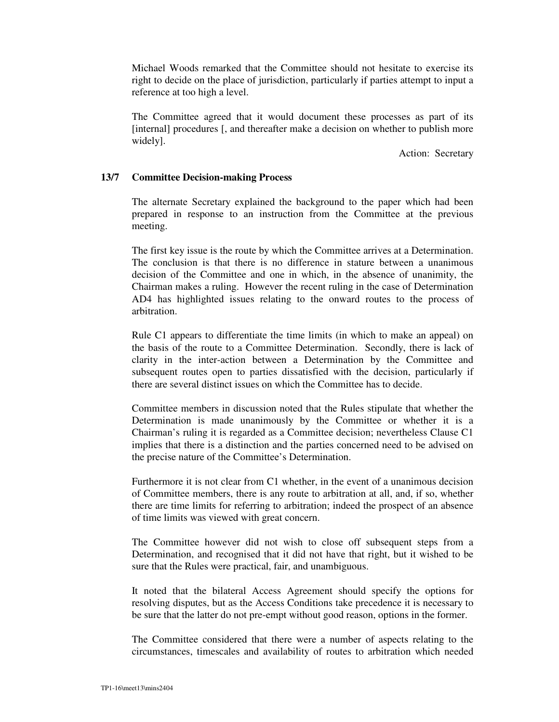Michael Woods remarked that the Committee should not hesitate to exercise its right to decide on the place of jurisdiction, particularly if parties attempt to input a reference at too high a level.

The Committee agreed that it would document these processes as part of its [internal] procedures [, and thereafter make a decision on whether to publish more widely].

Action: Secretary

## **13/7 Committee Decision-making Process**

The alternate Secretary explained the background to the paper which had been prepared in response to an instruction from the Committee at the previous meeting.

The first key issue is the route by which the Committee arrives at a Determination. The conclusion is that there is no difference in stature between a unanimous decision of the Committee and one in which, in the absence of unanimity, the Chairman makes a ruling. However the recent ruling in the case of Determination AD4 has highlighted issues relating to the onward routes to the process of arbitration.

Rule C1 appears to differentiate the time limits (in which to make an appeal) on the basis of the route to a Committee Determination. Secondly, there is lack of clarity in the inter-action between a Determination by the Committee and subsequent routes open to parties dissatisfied with the decision, particularly if there are several distinct issues on which the Committee has to decide.

Committee members in discussion noted that the Rules stipulate that whether the Determination is made unanimously by the Committee or whether it is a Chairman's ruling it is regarded as a Committee decision; nevertheless Clause C1 implies that there is a distinction and the parties concerned need to be advised on the precise nature of the Committee's Determination.

Furthermore it is not clear from C1 whether, in the event of a unanimous decision of Committee members, there is any route to arbitration at all, and, if so, whether there are time limits for referring to arbitration; indeed the prospect of an absence of time limits was viewed with great concern.

The Committee however did not wish to close off subsequent steps from a Determination, and recognised that it did not have that right, but it wished to be sure that the Rules were practical, fair, and unambiguous.

It noted that the bilateral Access Agreement should specify the options for resolving disputes, but as the Access Conditions take precedence it is necessary to be sure that the latter do not pre-empt without good reason, options in the former.

The Committee considered that there were a number of aspects relating to the circumstances, timescales and availability of routes to arbitration which needed